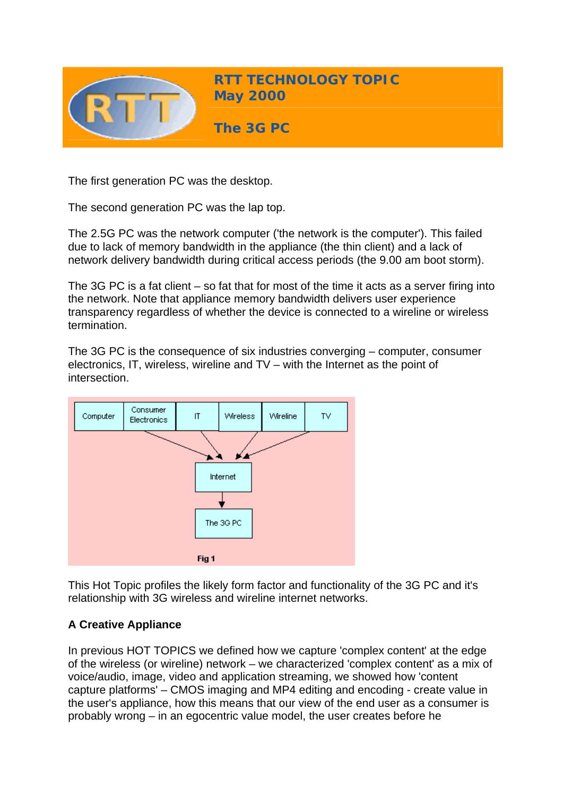

The first generation PC was the desktop.

The second generation PC was the lap top.

The 2.5G PC was the network computer ('the network is the computer'). This failed due to lack of memory bandwidth in the appliance (the thin client) and a lack of network delivery bandwidth during critical access periods (the 9.00 am boot storm).

The 3G PC is a fat client – so fat that for most of the time it acts as a server firing into the network. Note that appliance memory bandwidth delivers user experience transparency regardless of whether the device is connected to a wireline or wireless termination.

The 3G PC is the consequence of six industries converging – computer, consumer electronics, IT, wireless, wireline and TV – with the Internet as the point of intersection.



This Hot Topic profiles the likely form factor and functionality of the 3G PC and it's relationship with 3G wireless and wireline internet networks.

# **A Creative Appliance**

In previous HOT TOPICS we defined how we capture 'complex content' at the edge of the wireless (or wireline) network – we characterized 'complex content' as a mix of voice/audio, image, video and application streaming, we showed how 'content capture platforms' – CMOS imaging and MP4 editing and encoding - create value in the user's appliance, how this means that our view of the end user as a consumer is probably wrong – in an egocentric value model, the user creates before he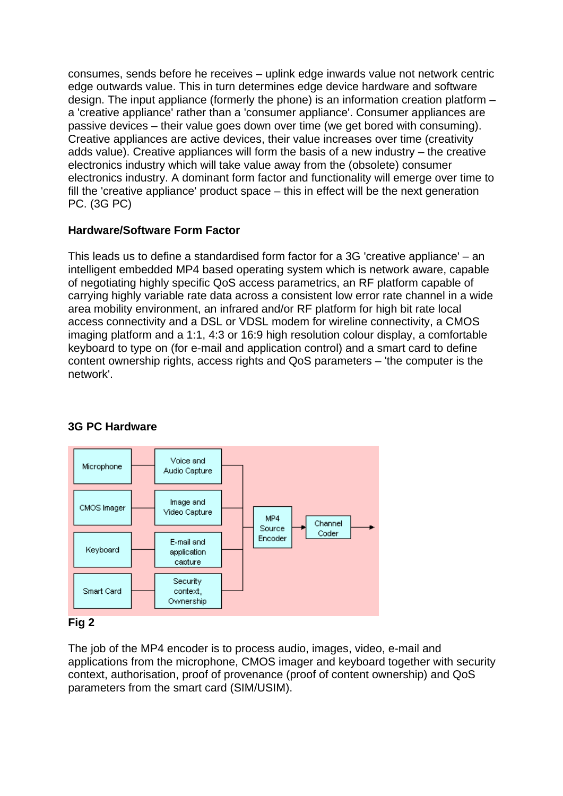consumes, sends before he receives – uplink edge inwards value not network centric edge outwards value. This in turn determines edge device hardware and software design. The input appliance (formerly the phone) is an information creation platform – a 'creative appliance' rather than a 'consumer appliance'. Consumer appliances are passive devices – their value goes down over time (we get bored with consuming). Creative appliances are active devices, their value increases over time (creativity adds value). Creative appliances will form the basis of a new industry – the creative electronics industry which will take value away from the (obsolete) consumer electronics industry. A dominant form factor and functionality will emerge over time to fill the 'creative appliance' product space – this in effect will be the next generation PC. (3G PC)

# **Hardware/Software Form Factor**

This leads us to define a standardised form factor for a 3G 'creative appliance' – an intelligent embedded MP4 based operating system which is network aware, capable of negotiating highly specific QoS access parametrics, an RF platform capable of carrying highly variable rate data across a consistent low error rate channel in a wide area mobility environment, an infrared and/or RF platform for high bit rate local access connectivity and a DSL or VDSL modem for wireline connectivity, a CMOS imaging platform and a 1:1, 4:3 or 16:9 high resolution colour display, a comfortable keyboard to type on (for e-mail and application control) and a smart card to define content ownership rights, access rights and QoS parameters – 'the computer is the network'.



# **3G PC Hardware**

# **Fig 2**

The job of the MP4 encoder is to process audio, images, video, e-mail and applications from the microphone, CMOS imager and keyboard together with security context, authorisation, proof of provenance (proof of content ownership) and QoS parameters from the smart card (SIM/USIM).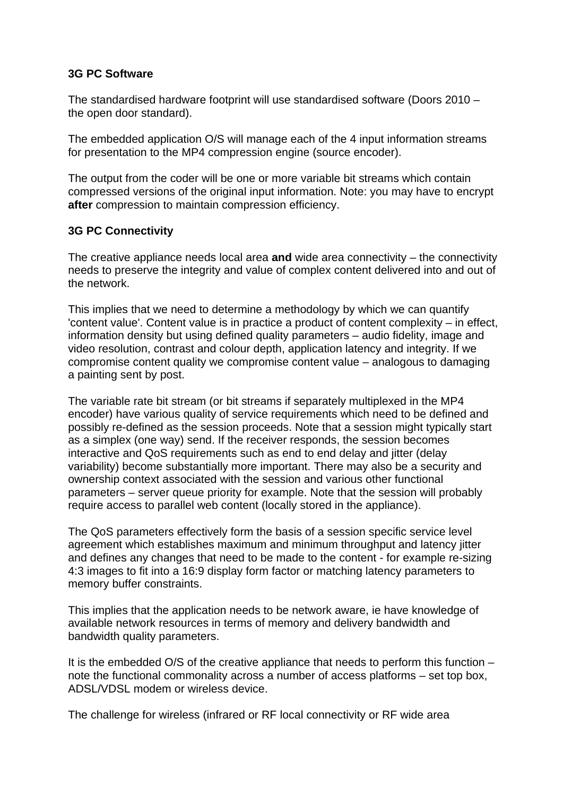### **3G PC Software**

The standardised hardware footprint will use standardised software (Doors 2010 – the open door standard).

The embedded application O/S will manage each of the 4 input information streams for presentation to the MP4 compression engine (source encoder).

The output from the coder will be one or more variable bit streams which contain compressed versions of the original input information. Note: you may have to encrypt **after** compression to maintain compression efficiency.

# **3G PC Connectivity**

The creative appliance needs local area **and** wide area connectivity – the connectivity needs to preserve the integrity and value of complex content delivered into and out of the network.

This implies that we need to determine a methodology by which we can quantify 'content value'. Content value is in practice a product of content complexity – in effect, information density but using defined quality parameters – audio fidelity, image and video resolution, contrast and colour depth, application latency and integrity. If we compromise content quality we compromise content value – analogous to damaging a painting sent by post.

The variable rate bit stream (or bit streams if separately multiplexed in the MP4 encoder) have various quality of service requirements which need to be defined and possibly re-defined as the session proceeds. Note that a session might typically start as a simplex (one way) send. If the receiver responds, the session becomes interactive and QoS requirements such as end to end delay and jitter (delay variability) become substantially more important. There may also be a security and ownership context associated with the session and various other functional parameters – server queue priority for example. Note that the session will probably require access to parallel web content (locally stored in the appliance).

The QoS parameters effectively form the basis of a session specific service level agreement which establishes maximum and minimum throughput and latency jitter and defines any changes that need to be made to the content - for example re-sizing 4:3 images to fit into a 16:9 display form factor or matching latency parameters to memory buffer constraints.

This implies that the application needs to be network aware, ie have knowledge of available network resources in terms of memory and delivery bandwidth and bandwidth quality parameters.

It is the embedded O/S of the creative appliance that needs to perform this function – note the functional commonality across a number of access platforms – set top box, ADSL/VDSL modem or wireless device.

The challenge for wireless (infrared or RF local connectivity or RF wide area